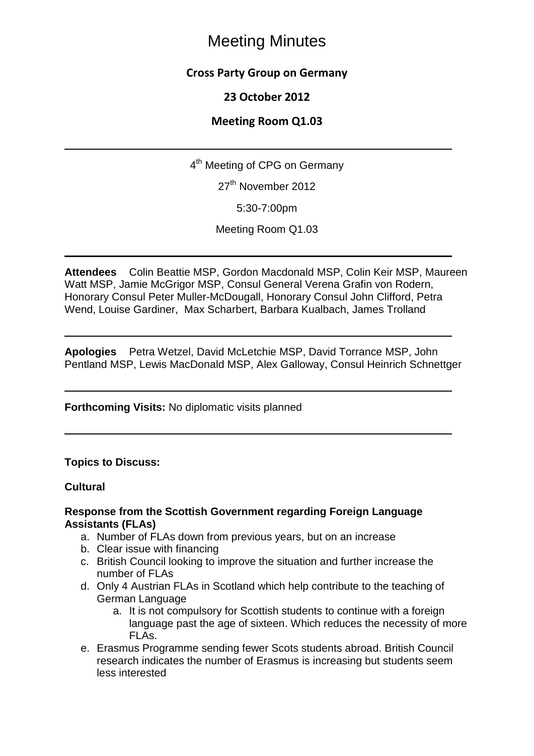## **Cross Party Group on Germany**

## **23 October 2012**

## **Meeting Room Q1.03**

4<sup>th</sup> Meeting of CPG on Germany

27<sup>th</sup> November 2012

5:30-7:00pm

Meeting Room Q1.03

**Attendees** Colin Beattie MSP, Gordon Macdonald MSP, Colin Keir MSP, Maureen Watt MSP, Jamie McGrigor MSP, Consul General Verena Grafin von Rodern, Honorary Consul Peter Muller-McDougall, Honorary Consul John Clifford, Petra Wend, Louise Gardiner, Max Scharbert, Barbara Kualbach, James Trolland

**Apologies** Petra Wetzel, David McLetchie MSP, David Torrance MSP, John Pentland MSP, Lewis MacDonald MSP, Alex Galloway, Consul Heinrich Schnettger

#### **Forthcoming Visits:** No diplomatic visits planned

#### **Topics to Discuss:**

#### **Cultural**

#### **Response from the Scottish Government regarding Foreign Language Assistants (FLAs)**

- a. Number of FLAs down from previous years, but on an increase
- b. Clear issue with financing
- c. British Council looking to improve the situation and further increase the number of FLAs
- d. Only 4 Austrian FLAs in Scotland which help contribute to the teaching of German Language
	- a. It is not compulsory for Scottish students to continue with a foreign language past the age of sixteen. Which reduces the necessity of more FLA<sub>S</sub>.
- e. Erasmus Programme sending fewer Scots students abroad. British Council research indicates the number of Erasmus is increasing but students seem less interested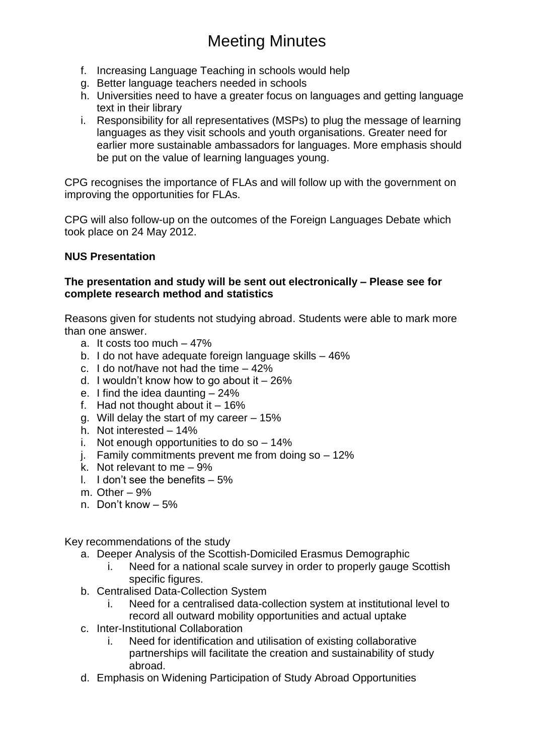- f. Increasing Language Teaching in schools would help
- g. Better language teachers needed in schools
- h. Universities need to have a greater focus on languages and getting language text in their library
- i. Responsibility for all representatives (MSPs) to plug the message of learning languages as they visit schools and youth organisations. Greater need for earlier more sustainable ambassadors for languages. More emphasis should be put on the value of learning languages young.

CPG recognises the importance of FLAs and will follow up with the government on improving the opportunities for FLAs.

CPG will also follow-up on the outcomes of the Foreign Languages Debate which took place on 24 May 2012.

#### **NUS Presentation**

#### **The presentation and study will be sent out electronically – Please see for complete research method and statistics**

Reasons given for students not studying abroad. Students were able to mark more than one answer.

- a. It costs too much 47%
- b. I do not have adequate foreign language skills 46%
- c. I do not/have not had the time 42%
- d. I wouldn't know how to go about it  $-26\%$
- e. I find the idea daunting 24%
- f. Had not thought about it  $-16\%$
- g. Will delay the start of my career 15%
- h. Not interested 14%
- i. Not enough opportunities to do so 14%
- j. Family commitments prevent me from doing so 12%
- k. Not relevant to me 9%
- l.  $\blacksquare$  don't see the benefits  $-5\%$
- m. Other 9%
- n. Don't know 5%

Key recommendations of the study

- a. Deeper Analysis of the Scottish-Domiciled Erasmus Demographic
	- i. Need for a national scale survey in order to properly gauge Scottish specific figures.
- b. Centralised Data-Collection System
	- i. Need for a centralised data-collection system at institutional level to record all outward mobility opportunities and actual uptake
- c. Inter-Institutional Collaboration
	- i. Need for identification and utilisation of existing collaborative partnerships will facilitate the creation and sustainability of study abroad.
- d. Emphasis on Widening Participation of Study Abroad Opportunities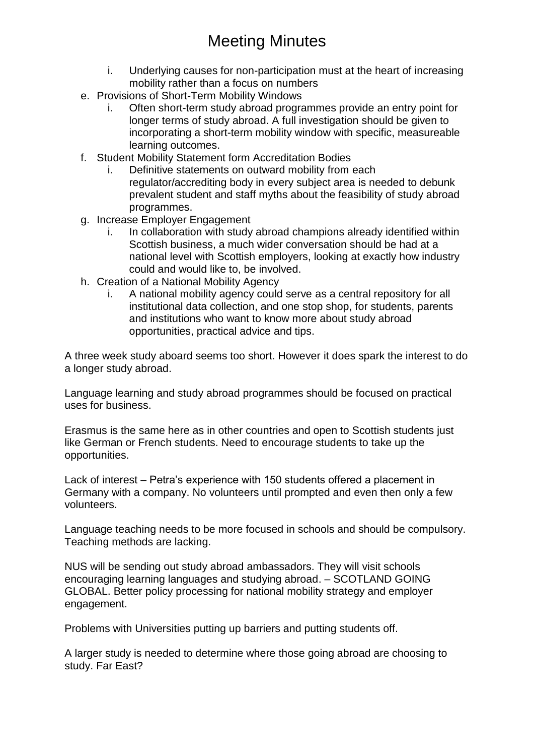- i. Underlying causes for non-participation must at the heart of increasing mobility rather than a focus on numbers
- e. Provisions of Short-Term Mobility Windows
	- i. Often short-term study abroad programmes provide an entry point for longer terms of study abroad. A full investigation should be given to incorporating a short-term mobility window with specific, measureable learning outcomes.
- f. Student Mobility Statement form Accreditation Bodies
	- i. Definitive statements on outward mobility from each regulator/accrediting body in every subject area is needed to debunk prevalent student and staff myths about the feasibility of study abroad programmes.
- g. Increase Employer Engagement
	- i. In collaboration with study abroad champions already identified within Scottish business, a much wider conversation should be had at a national level with Scottish employers, looking at exactly how industry could and would like to, be involved.
- h. Creation of a National Mobility Agency
	- i. A national mobility agency could serve as a central repository for all institutional data collection, and one stop shop, for students, parents and institutions who want to know more about study abroad opportunities, practical advice and tips.

A three week study aboard seems too short. However it does spark the interest to do a longer study abroad.

Language learning and study abroad programmes should be focused on practical uses for business.

Erasmus is the same here as in other countries and open to Scottish students just like German or French students. Need to encourage students to take up the opportunities.

Lack of interest – Petra's experience with 150 students offered a placement in Germany with a company. No volunteers until prompted and even then only a few volunteers.

Language teaching needs to be more focused in schools and should be compulsory. Teaching methods are lacking.

NUS will be sending out study abroad ambassadors. They will visit schools encouraging learning languages and studying abroad. – SCOTLAND GOING GLOBAL. Better policy processing for national mobility strategy and employer engagement.

Problems with Universities putting up barriers and putting students off.

A larger study is needed to determine where those going abroad are choosing to study. Far East?